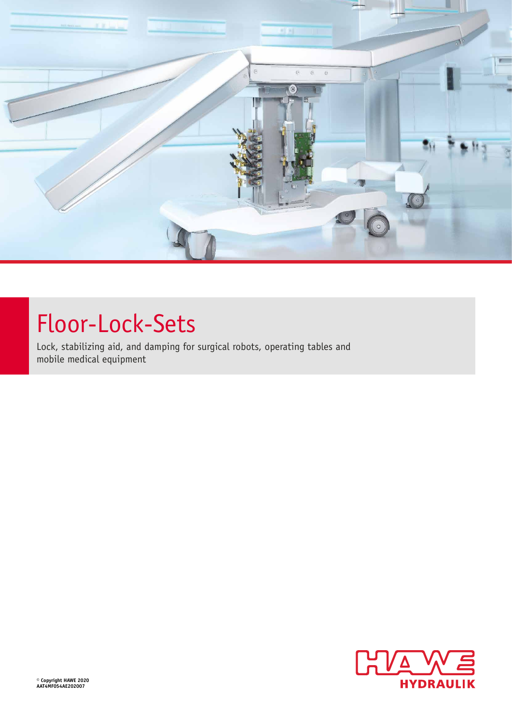

# Floor-Lock-Sets

Lock, stabilizing aid, and damping for surgical robots, operating tables and mobile medical equipment

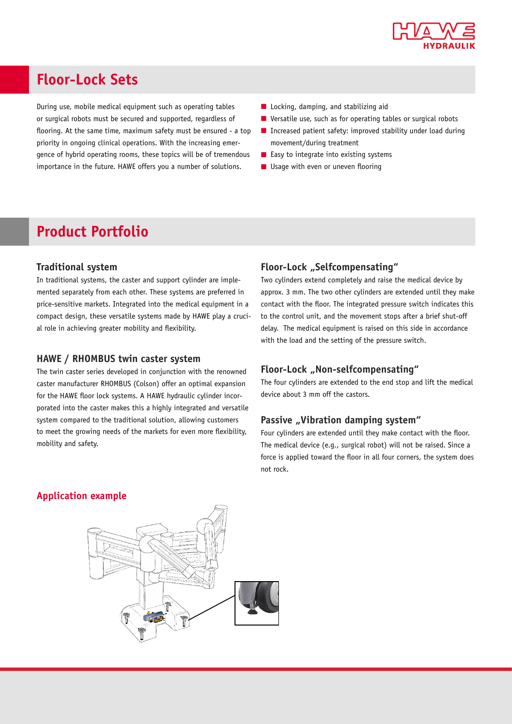

# **Floor-Lock Sets**

During use, mobile medical equipment such as operating tables or surgical robots must be secured and supported, regardless of flooring. At the same time, maximum safety must be ensured - a top priority in ongoing clinical operations. With the increasing emergence of hybrid operating rooms, these topics will be of tremendous importance in the future. HAWE offers you a number of solutions.

- Locking, damping, and stabilizing aid
- Versatile use, such as for operating tables or surgical robots
- Increased patient safety: improved stability under load during movement/during treatment
- Easy to integrate into existing systems
- Usage with even or uneven flooring

# **Product Portfolio**

# **Traditional system**

In traditional systems, the caster and support cylinder are implemented separately from each other. These systems are preferred in price-sensitive markets. Integrated into the medical equipment in a compact design, these versatile systems made by HAWE play a crucial role in achieving greater mobility and flexibility.

#### **HAWE / RHOMBUS twin caster system**

The twin caster series developed in conjunction with the renowned caster manufacturer RHOMBUS (Colson) offer an optimal expansion for the HAWE floor lock systems. A HAWE hydraulic cylinder incorporated into the caster makes this a highly integrated and versatile system compared to the traditional solution, allowing customers to meet the growing needs of the markets for even more flexibility, mobility and safety.

# **Floor-Lock** "Selfcompensating"

Two cylinders extend completely and raise the medical device by approx. 3 mm. The two other cylinders are extended until they make contact with the floor. The integrated pressure switch indicates this to the control unit, and the movement stops after a brief shut-off delay. The medical equipment is raised on this side in accordance with the load and the setting of the pressure switch.

# **Floor-Lock** "Non-selfcompensating"

The four cylinders are extended to the end stop and lift the medical device about 3 mm off the castors.

# **Passive "Vibration damping system"**

Four cylinders are extended until they make contact with the floor. The medical device (e.g., surgical robot) will not be raised. Since a force is applied toward the floor in all four corners, the system does not rock.

# **Application example**

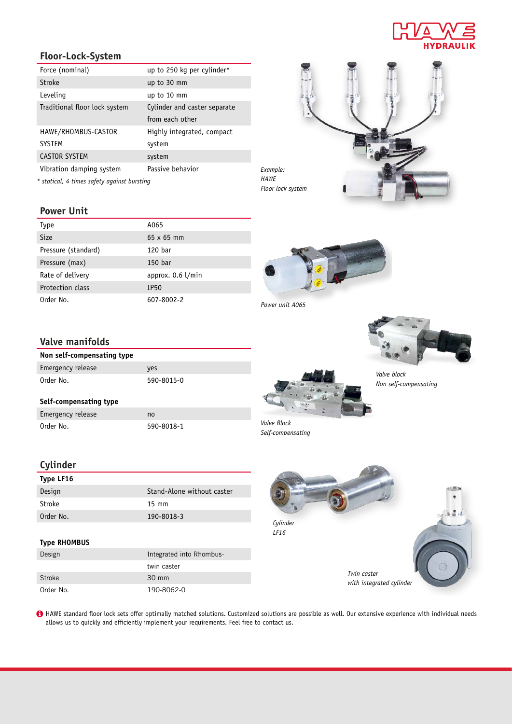

# **Floor-Lock-System**

| Force (nominal)                             | up to 250 kg per cylinder*   |
|---------------------------------------------|------------------------------|
| Stroke                                      | up to 30 mm                  |
| Leveling                                    | up to 10 mm                  |
| Traditional floor lock system               | Cylinder and caster separate |
|                                             | from each other              |
| HAWE/RHOMBUS-CASTOR                         | Highly integrated, compact   |
| <b>SYSTEM</b>                               | system                       |
| <b>CASTOR SYSTEM</b>                        | system                       |
| Vibration damping system                    | Passive behavior             |
| * statical, 4 times safety against bursting |                              |

# *Example: Floor lock system*

**Power Unit**

| Type                | A065                |
|---------------------|---------------------|
| <b>Size</b>         | $65 \times 65$ mm   |
| Pressure (standard) | 120 bar             |
| Pressure (max)      | 150 bar             |
| Rate of delivery    | approx. $0.6$ l/min |
| Protection class    | IP <sub>50</sub>    |
| Order No.           | 607-8002-2          |

# **Valve manifolds**

| Non self-compensating type |            |
|----------------------------|------------|
| Emergency release          | yes        |
| Order No.                  | 590-8015-0 |
|                            |            |
| Self-compensating type     |            |
| Emergency release          | no         |
| Order No.                  | 590-8018-1 |

# **Cylinder**

| Type LF16 |                            |
|-----------|----------------------------|
| Design    | Stand-Alone without caster |
| Stroke    | $15 \text{ mm}$            |
| Order No. | 190-8018-3                 |

# **Type RHOMBUS**

| Design        | Integrated into Rhombus- |
|---------------|--------------------------|
|               | twin caster              |
| <b>Stroke</b> | $30 \text{ mm}$          |
| Order No.     | 190-8062-0               |





*HAWE*



*Valve block Non self-compensating*





HAWE standard floor lock sets offer optimally matched solutions. Customized solutions are possible as well. Our extensive experience with individual needs allows us to quickly and efficiently implement your requirements. Feel free to contact us.